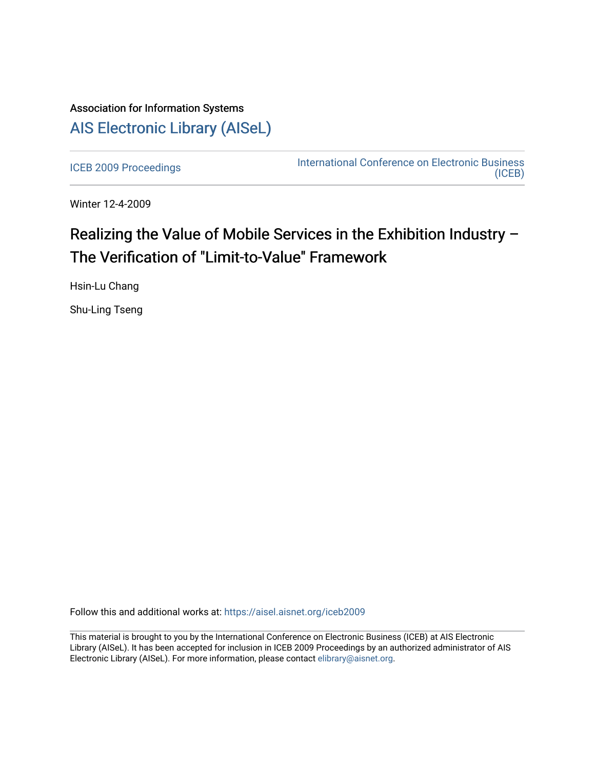# Association for Information Systems [AIS Electronic Library \(AISeL\)](https://aisel.aisnet.org/)

[ICEB 2009 Proceedings](https://aisel.aisnet.org/iceb2009) **International Conference on Electronic Business** [\(ICEB\)](https://aisel.aisnet.org/iceb) 

Winter 12-4-2009

# Realizing the Value of Mobile Services in the Exhibition Industry – The Verification of "Limit-to-Value" Framework

Hsin-Lu Chang

Shu-Ling Tseng

Follow this and additional works at: [https://aisel.aisnet.org/iceb2009](https://aisel.aisnet.org/iceb2009?utm_source=aisel.aisnet.org%2Ficeb2009%2F47&utm_medium=PDF&utm_campaign=PDFCoverPages)

This material is brought to you by the International Conference on Electronic Business (ICEB) at AIS Electronic Library (AISeL). It has been accepted for inclusion in ICEB 2009 Proceedings by an authorized administrator of AIS Electronic Library (AISeL). For more information, please contact [elibrary@aisnet.org.](mailto:elibrary@aisnet.org%3E)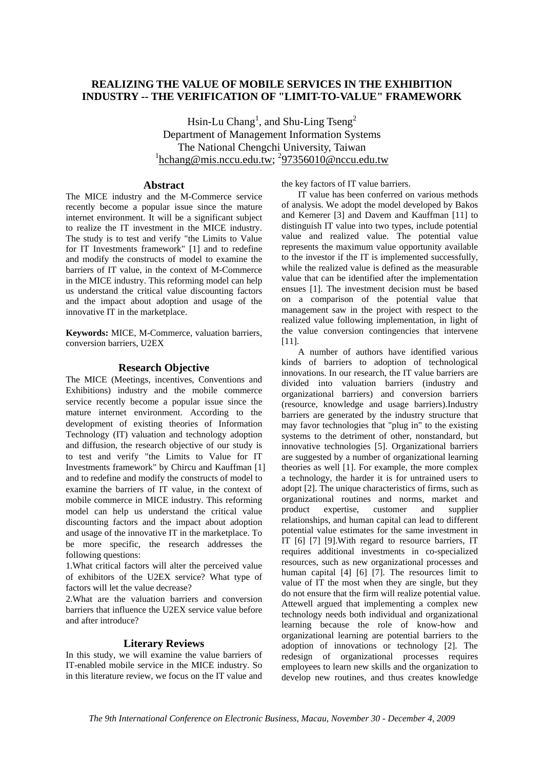# **REALIZING THE VALUE OF MOBILE SERVICES IN THE EXHIBITION INDUSTRY -- THE VERIFICATION OF "LIMIT-TO-VALUE" FRAMEWORK**

Hsin-Lu Chang<sup>1</sup>, and Shu-Ling Tseng<sup>2</sup> Department of Management Information Systems The National Chengchi University, Taiwan <sup>1</sup>hchang@mis.nccu.edu.tw; <sup>2</sup>97356010@nccu.edu.tw

# **Abstract**

The MICE industry and the M-Commerce service recently become a popular issue since the mature internet environment. It will be a significant subject to realize the IT investment in the MICE industry. The study is to test and verify "the Limits to Value for IT Investments framework" [1] and to redefine and modify the constructs of model to examine the barriers of IT value, in the context of M-Commerce in the MICE industry. This reforming model can help us understand the critical value discounting factors and the impact about adoption and usage of the innovative IT in the marketplace.

**Keywords:** MICE, M-Commerce, valuation barriers, conversion barriers, U2EX

## **Research Objective**

The MICE (Meetings, incentives, Conventions and Exhibitions) industry and the mobile commerce service recently become a popular issue since the mature internet environment. According to the development of existing theories of Information Technology (IT) valuation and technology adoption and diffusion, the research objective of our study is to test and verify "the Limits to Value for IT Investments framework" by Chircu and Kauffman [1] and to redefine and modify the constructs of model to examine the barriers of IT value, in the context of mobile commerce in MICE industry. This reforming model can help us understand the critical value discounting factors and the impact about adoption and usage of the innovative IT in the marketplace. To be more specific, the research addresses the following questions:

1.What critical factors will alter the perceived value of exhibitors of the U2EX service? What type of factors will let the value decrease?

2.What are the valuation barriers and conversion barriers that influence the U2EX service value before and after introduce?

#### **Literary Reviews**

In this study, we will examine the value barriers of IT-enabled mobile service in the MICE industry. So in this literature review, we focus on the IT value and

the key factors of IT value barriers.

IT value has been conferred on various methods of analysis. We adopt the model developed by Bakos and Kemerer [3] and Davem and Kauffman [11] to distinguish IT value into two types, include potential value and realized value. The potential value represents the maximum value opportunity available to the investor if the IT is implemented successfully, while the realized value is defined as the measurable value that can be identified after the implementation ensues [1]. The investment decision must be based on a comparison of the potential value that management saw in the project with respect to the realized value following implementation, in light of the value conversion contingencies that intervene [11].

A number of authors have identified various kinds of barriers to adoption of technological innovations. In our research, the IT value barriers are divided into valuation barriers (industry and organizational barriers) and conversion barriers (resource, knowledge and usage barriers).Industry barriers are generated by the industry structure that may favor technologies that "plug in" to the existing systems to the detriment of other, nonstandard, but innovative technologies [5]. Organizational barriers are suggested by a number of organizational learning theories as well [1]. For example, the more complex a technology, the harder it is for untrained users to adopt [2]. The unique characteristics of firms, such as organizational routines and norms, market and product expertise, customer and supplier relationships, and human capital can lead to different potential value estimates for the same investment in IT [6] [7] [9].With regard to resource barriers, IT requires additional investments in co-specialized resources, such as new organizational processes and human capital [4] [6] [7]. The resources limit to value of IT the most when they are single, but they do not ensure that the firm will realize potential value. Attewell argued that implementing a complex new technology needs both individual and organizational learning because the role of know-how and organizational learning are potential barriers to the adoption of innovations or technology [2]. The redesign of organizational processes requires employees to learn new skills and the organization to develop new routines, and thus creates knowledge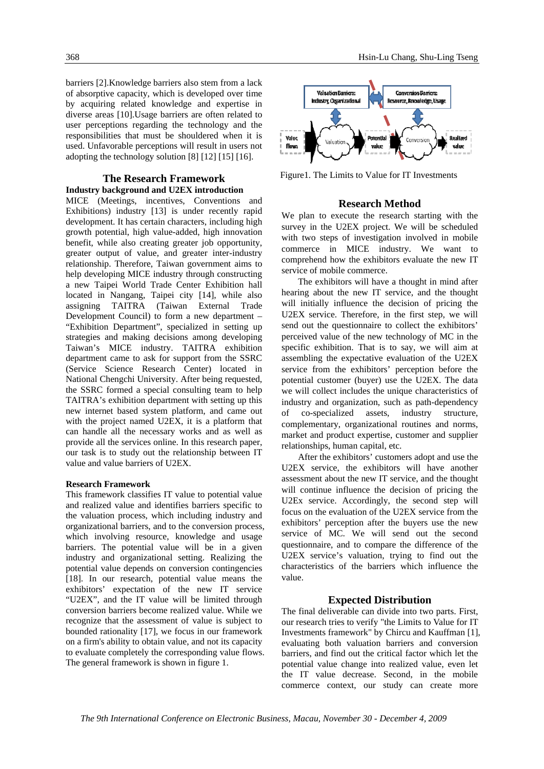barriers [2].Knowledge barriers also stem from a lack of absorptive capacity, which is developed over time by acquiring related knowledge and expertise in diverse areas [10].Usage barriers are often related to user perceptions regarding the technology and the responsibilities that must be shouldered when it is used. Unfavorable perceptions will result in users not adopting the technology solution [8] [12] [15] [16].

### **The Research Framework Industry background and U2EX introduction**

MICE (Meetings, incentives, Conventions and Exhibitions) industry [13] is under recently rapid development. It has certain characters, including high growth potential, high value-added, high innovation benefit, while also creating greater job opportunity, greater output of value, and greater inter-industry relationship. Therefore, Taiwan government aims to help developing MICE industry through constructing a new Taipei World Trade Center Exhibition hall located in Nangang, Taipei city [14], while also assigning TAITRA (Taiwan External Trade Development Council) to form a new department – "Exhibition Department", specialized in setting up strategies and making decisions among developing Taiwan's MICE industry. TAITRA exhibition department came to ask for support from the SSRC (Service Science Research Center) located in National Chengchi University. After being requested, the SSRC formed a special consulting team to help TAITRA's exhibition department with setting up this new internet based system platform, and came out with the project named U2EX, it is a platform that can handle all the necessary works and as well as provide all the services online. In this research paper, our task is to study out the relationship between IT value and value barriers of U2EX.

#### **Research Framework**

This framework classifies IT value to potential value and realized value and identifies barriers specific to the valuation process, which including industry and organizational barriers, and to the conversion process, which involving resource, knowledge and usage barriers. The potential value will be in a given industry and organizational setting. Realizing the potential value depends on conversion contingencies [18]. In our research, potential value means the exhibitors' expectation of the new IT service "U2EX", and the IT value will be limited through conversion barriers become realized value. While we recognize that the assessment of value is subject to bounded rationality [17], we focus in our framework on a firm's ability to obtain value, and not its capacity to evaluate completely the corresponding value flows. The general framework is shown in figure 1.



Figure1. The Limits to Value for IT Investments

#### **Research Method**

We plan to execute the research starting with the survey in the U2EX project. We will be scheduled with two steps of investigation involved in mobile commerce in MICE industry. We want to comprehend how the exhibitors evaluate the new IT service of mobile commerce.

The exhibitors will have a thought in mind after hearing about the new IT service, and the thought will initially influence the decision of pricing the U2EX service. Therefore, in the first step, we will send out the questionnaire to collect the exhibitors' perceived value of the new technology of MC in the specific exhibition. That is to say, we will aim at assembling the expectative evaluation of the U2EX service from the exhibitors' perception before the potential customer (buyer) use the U2EX. The data we will collect includes the unique characteristics of industry and organization, such as path-dependency of co-specialized assets, industry structure, complementary, organizational routines and norms, market and product expertise, customer and supplier relationships, human capital, etc.

After the exhibitors' customers adopt and use the U2EX service, the exhibitors will have another assessment about the new IT service, and the thought will continue influence the decision of pricing the U2Ex service. Accordingly, the second step will focus on the evaluation of the U2EX service from the exhibitors' perception after the buyers use the new service of MC. We will send out the second questionnaire, and to compare the difference of the U2EX service's valuation, trying to find out the characteristics of the barriers which influence the value.

#### **Expected Distribution**

The final deliverable can divide into two parts. First, our research tries to verify "the Limits to Value for IT Investments framework" by Chircu and Kauffman [1], evaluating both valuation barriers and conversion barriers, and find out the critical factor which let the potential value change into realized value, even let the IT value decrease. Second, in the mobile commerce context, our study can create more